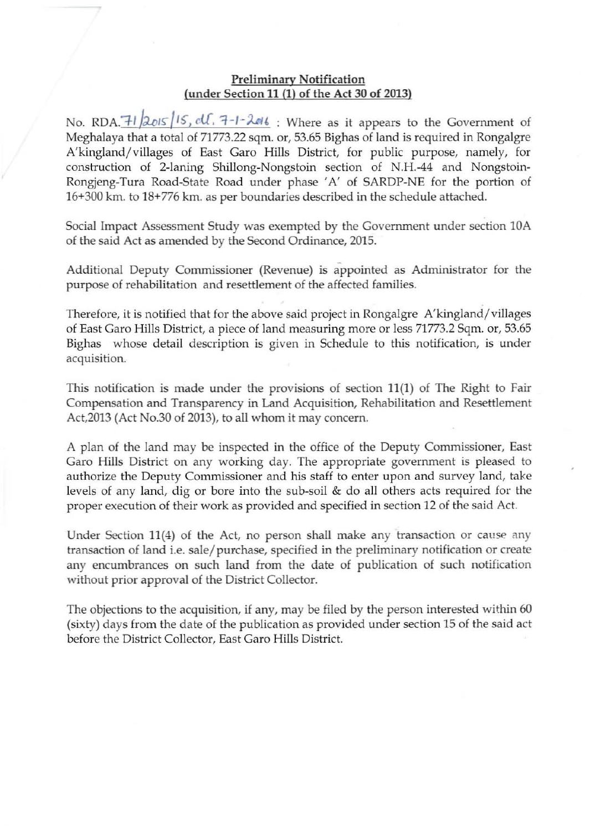## **Preliminary Notification**  (under Section 11 (I) of the Act 30 of 2013)

No. RDA.<sup>7</sup> | 2015 | 15, cll. 7-1-2016 : Where as it appears to the Government of Meghalaya that a total of 71773.22 sqm. or, 53.65 Bighas of land is required in Rongalgre A'kingland/villages of East Garo Hills District, for public purpose, namely, for **construction of 2-laning ShilIong-Nongstoin section of N.H.-44 and** Nongstoin-Rongjeng-Tura Road-State Road under phase 'A' of SARDP-NE for the portion of 16+300 km. to 18+776 km. as per boundaries described in the schedule attached.

**Social Impact Assessment Study was exempted by the Government under section lOA**  of the said Act as amended by the Second Ordinance, 2015.

**Additional Deputy Commissioner (Revenue) is appointed as Administrator for the purpose of rehabilitation and resettlement of the affected families.** 

**Therefore, it is notified that for the above said project in Rongalgre A'kingland /villages of East Garo Hills District, a piece of land measuring more or less 71773.2 Sqm. or, 53.65 Bighas whose detail description is given in Schedule to this notification, is under acquisition.** 

**This notification is made under the provisions of section 11(1) of The Right to Fair Compensation and Transparency in Land Acquisition, Rehabilitation and Resettlement**  Act,2013 (Act No.30 of 2013), to all whom it may concern.

A plan of the land may be inspected in the office of the Deputy Commissioner, East **Garo Hills District on any working day. The appropriate government is pleased to authorize the Deputy Commissioner and his staff to enter upon and survey land, take levels of any land, dig or bore into the sub-soil & do all others acts required for the proper execution of their work as provided and specified in section 12 of the said Act.** 

Under Section 11(4) of the Act, no person shall make any transaction or cause any **transaction of land** i.e, **sale/ purchase, specified in the preliminary notification or create any encumbrances on such land from the date of publication of such notification**  without prior approval of the District Collector.

The objections to the acquisition, if any, may be filed by the person interested within 60 **(sixty) days from the date of the publication as provided under section 15 of the said act before the District Collector, East Garo Hills District.**